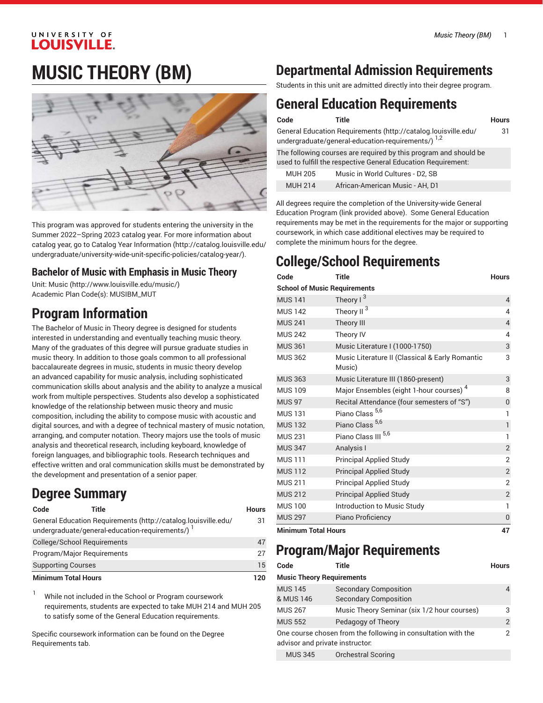### UNIVERSITY OF **LOUISVILLE.**

# **MUSIC THEORY (BM)**



This program was approved for students entering the university in the Summer 2022–Spring 2023 catalog year. For more information about catalog year, go to Catalog Year [Information](http://catalog.louisville.edu/undergraduate/university-wide-unit-specific-policies/catalog-year/) ([http://catalog.louisville.edu/](http://catalog.louisville.edu/undergraduate/university-wide-unit-specific-policies/catalog-year/) [undergraduate/university-wide-unit-specific-policies/catalog-year/](http://catalog.louisville.edu/undergraduate/university-wide-unit-specific-policies/catalog-year/)).

### **Bachelor of Music with Emphasis in Music Theory**

Unit: [Music \(http://www.louisville.edu/music/](http://www.louisville.edu/music/)) Academic Plan Code(s): MUSIBM\_MUT

# **Program Information**

The Bachelor of Music in Theory degree is designed for students interested in understanding and eventually teaching music theory. Many of the graduates of this degree will pursue graduate studies in music theory. In addition to those goals common to all professional baccalaureate degrees in music, students in music theory develop an advanced capability for music analysis, including sophisticated communication skills about analysis and the ability to analyze a musical work from multiple perspectives. Students also develop a sophisticated knowledge of the relationship between music theory and music composition, including the ability to compose music with acoustic and digital sources, and with a degree of technical mastery of music notation, arranging, and computer notation. Theory majors use the tools of music analysis and theoretical research, including keyboard, knowledge of foreign languages, and bibliographic tools. Research techniques and effective written and oral communication skills must be demonstrated by the development and presentation of a senior paper.

# **Degree Summary**

| Code                        | Title                                                                                                            | <b>Hours</b> |
|-----------------------------|------------------------------------------------------------------------------------------------------------------|--------------|
|                             | General Education Requirements (http://catalog.louisville.edu/<br>undergraduate/general-education-requirements/) | 31           |
| College/School Requirements |                                                                                                                  | 47           |
| Program/Major Reguirements  |                                                                                                                  | 27           |
| <b>Supporting Courses</b>   |                                                                                                                  | 15           |
| <b>Minimum Total Hours</b>  |                                                                                                                  | 120          |

While not included in the School or Program coursework requirements, students are expected to take MUH 214 and MUH 205 to satisfy some of the General Education requirements.

Specific coursework information can be found on the Degree Requirements tab.

# **Departmental Admission Requirements**

Students in this unit are admitted directly into their degree program.

# **General Education Requirements**

| Code           | Title                                                                                                                             | <b>Hours</b> |
|----------------|-----------------------------------------------------------------------------------------------------------------------------------|--------------|
|                | General Education Requirements (http://catalog.louisville.edu/<br>undergraduate/general-education-requirements/) 1,2              | 31           |
|                | The following courses are required by this program and should be<br>used to fulfill the respective General Education Requirement: |              |
| <b>MUH 205</b> | Music in World Cultures - D2, SB                                                                                                  |              |
| <b>MUH 214</b> | African-American Music - AH, D1                                                                                                   |              |

All degrees require the completion of the University-wide General Education Program (link provided above). Some General Education requirements may be met in the requirements for the major or supporting coursework, in which case additional electives may be required to complete the minimum hours for the degree.

# **College/School Requirements**

| Code                                | <b>Title</b>                                              | <b>Hours</b>   |  |
|-------------------------------------|-----------------------------------------------------------|----------------|--|
| <b>School of Music Requirements</b> |                                                           |                |  |
| <b>MUS 141</b>                      | Theory $1^3$                                              | $\overline{4}$ |  |
| <b>MUS 142</b>                      | 3<br>Theory II                                            | 4              |  |
| <b>MUS 241</b>                      | Theory III                                                | $\overline{4}$ |  |
| <b>MUS 242</b>                      | Theory IV                                                 | 4              |  |
| <b>MUS 361</b>                      | Music Literature I (1000-1750)                            | 3              |  |
| <b>MUS 362</b>                      | Music Literature II (Classical & Early Romantic<br>Music) | 3              |  |
| <b>MUS 363</b>                      | Music Literature III (1860-present)                       | 3              |  |
| <b>MUS 109</b>                      | Major Ensembles (eight 1-hour courses) <sup>4</sup>       | 8              |  |
| <b>MUS 97</b>                       | Recital Attendance (four semesters of "S")                | $\mathbf 0$    |  |
| <b>MUS 131</b>                      | Piano Class <sup>5,6</sup>                                | $\mathbf{1}$   |  |
| <b>MUS 132</b>                      | Piano Class <sup>5,6</sup>                                | $\mathbf{1}$   |  |
| <b>MUS 231</b>                      | Piano Class III <sup>5,6</sup>                            | 1              |  |
| <b>MUS 347</b>                      | Analysis I                                                | $\overline{2}$ |  |
| <b>MUS111</b>                       | <b>Principal Applied Study</b>                            | $\overline{2}$ |  |
| <b>MUS 112</b>                      | <b>Principal Applied Study</b>                            | $\overline{2}$ |  |
| <b>MUS 211</b>                      | <b>Principal Applied Study</b>                            | 2              |  |
| <b>MUS 212</b>                      | <b>Principal Applied Study</b>                            | $\overline{c}$ |  |
| <b>MUS 100</b>                      | Introduction to Music Study                               | 1              |  |
| <b>MUS 297</b>                      | Piano Proficiency                                         | $\overline{0}$ |  |
| Minimum Tatal Hauro                 |                                                           | 17             |  |

**Minimum Total Hours 47**

### **Program/Major Requirements**

| Code                             | Title                                                         | <b>Hours</b> |
|----------------------------------|---------------------------------------------------------------|--------------|
| <b>Music Theory Requirements</b> |                                                               |              |
| <b>MUS 145</b><br>& MUS 146      | <b>Secondary Composition</b><br><b>Secondary Composition</b>  |              |
| <b>MUS 267</b>                   | Music Theory Seminar (six 1/2 hour courses)                   | 3            |
| <b>MUS 552</b>                   | Pedagogy of Theory                                            | 2            |
| advisor and private instructor.  | One course chosen from the following in consultation with the | 2            |
| <b>MUS 345</b>                   | <b>Orchestral Scoring</b>                                     |              |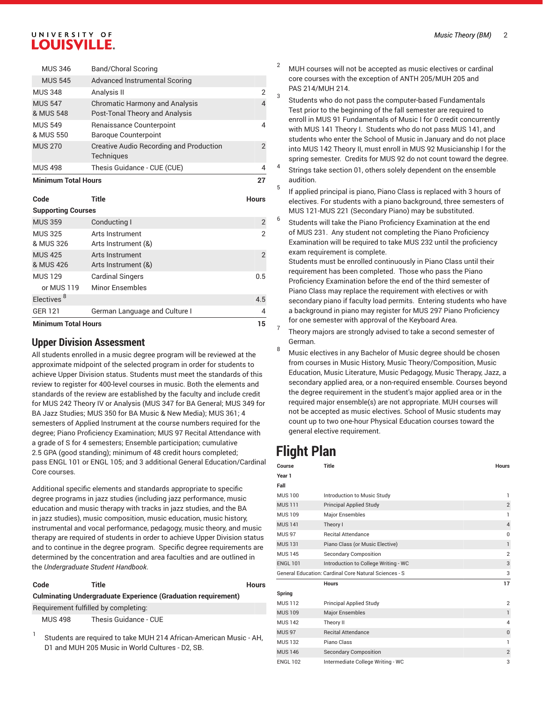#### UNIVERSITY OF **LOUISVILLE.**

| <b>Supporting Courses</b>   |                                                                         |                |  |
|-----------------------------|-------------------------------------------------------------------------|----------------|--|
| Code                        | Title                                                                   | <b>Hours</b>   |  |
| <b>Minimum Total Hours</b>  |                                                                         | 27             |  |
| <b>MUS 498</b>              | Thesis Guidance - CUE (CUE)                                             | 4              |  |
| <b>MUS 270</b>              | <b>Creative Audio Recording and Production</b><br><b>Techniques</b>     | $\overline{2}$ |  |
| & MUS 550                   | <b>Baroque Counterpoint</b>                                             |                |  |
| <b>MUS 549</b>              | Renaissance Counterpoint                                                | 4              |  |
| <b>MUS 547</b><br>& MUS 548 | <b>Chromatic Harmony and Analysis</b><br>Post-Tonal Theory and Analysis | 4              |  |
| <b>MUS 348</b>              | Analysis II                                                             | $\overline{2}$ |  |
| <b>MUS 545</b>              | Advanced Instrumental Scoring                                           |                |  |
| <b>MUS 346</b>              | <b>Band/Choral Scoring</b>                                              |                |  |

| <b>Minimum Total Hours</b>  |                                        | 15             |
|-----------------------------|----------------------------------------|----------------|
| <b>GER 121</b>              | German Language and Culture I          | 4              |
| Electives <sup>8</sup>      |                                        | 4.5            |
| or MUS 119                  | <b>Minor Ensembles</b>                 |                |
| <b>MUS 129</b>              | <b>Cardinal Singers</b>                | 0.5            |
| <b>MUS 425</b><br>& MUS 426 | Arts Instrument<br>Arts Instrument (&) | 2              |
| <b>MUS 325</b><br>& MUS 326 | Arts Instrument<br>Arts Instrument (&) | 2              |
| <b>MUS 359</b>              | Conducting I                           | $\overline{2}$ |
|                             |                                        |                |

#### **Upper Division Assessment**

All students enrolled in a music degree program will be reviewed at the approximate midpoint of the selected program in order for students to achieve Upper Division status. Students must meet the standards of this review to register for 400-level courses in music. Both the elements and standards of the review are established by the faculty and include credit for MUS 242 Theory IV or Analysis (MUS 347 for BA General; MUS 349 for BA Jazz Studies; MUS 350 for BA Music & New Media); MUS 361; 4 semesters of Applied Instrument at the course numbers required for the degree; Piano Proficiency Examination; MUS 97 Recital Attendance with a grade of S for 4 semesters; Ensemble participation; cumulative 2.5 GPA (good standing); minimum of 48 credit hours completed; pass ENGL 101 or ENGL 105; and 3 additional General Education/Cardinal Core courses.

Additional specific elements and standards appropriate to specific degree programs in jazz studies (including jazz performance, music education and music therapy with tracks in jazz studies, and the BA in jazz studies), music composition, music education, music history, instrumental and vocal performance, pedagogy, music theory, and music therapy are required of students in order to achieve Upper Division status and to continue in the degree program. Specific degree requirements are determined by the concentration and area faculties and are outlined in the *Undergraduate Student Handbook*.

| Code           | Title                                                                                                                  | <b>Hours</b> |
|----------------|------------------------------------------------------------------------------------------------------------------------|--------------|
|                | <b>Culminating Undergraduate Experience (Graduation requirement)</b>                                                   |              |
|                | Requirement fulfilled by completing:                                                                                   |              |
| <b>MUS 498</b> | Thesis Guidance - CUE                                                                                                  |              |
|                | Students are required to take MUH 214 African-American Music - AH,<br>D1 and MUH 205 Music in World Cultures - D2, SB. |              |

- <sup>2</sup> MUH courses will not be accepted as music electives or cardinal core courses with the exception of ANTH 205/MUH 205 and PAS 214/MUH 214.
- 3 Students who do not pass the computer-based Fundamentals Test prior to the beginning of the fall semester are required to enroll in MUS 91 Fundamentals of Music I for 0 credit concurrently with MUS 141 Theory I. Students who do not pass MUS 141, and students who enter the School of Music in January and do not place into MUS 142 Theory II, must enroll in MUS 92 Musicianship I for the spring semester. Credits for MUS 92 do not count toward the degree.
- 4 Strings take section 01, others solely dependent on the ensemble audition.
- 5 If applied principal is piano, Piano Class is replaced with 3 hours of electives. For students with a piano background, three semesters of MUS 121-MUS 221 (Secondary Piano) may be substituted.
- 6 Students will take the Piano Proficiency Examination at the end of MUS 231. Any student not completing the Piano Proficiency Examination will be required to take MUS 232 until the proficiency exam requirement is complete.

Students must be enrolled continuously in Piano Class until their requirement has been completed. Those who pass the Piano Proficiency Examination before the end of the third semester of Piano Class may replace the requirement with electives or with secondary piano if faculty load permits. Entering students who have a background in piano may register for MUS 297 Piano Proficiency for one semester with approval of the Keyboard Area.

- 7 Theory majors are strongly advised to take a second semester of German.
- <sup>8</sup> Music electives in any Bachelor of Music degree should be chosen from courses in Music History, Music Theory/Composition, Music Education, Music Literature, Music Pedagogy, Music Therapy, Jazz, a secondary applied area, or a non-required ensemble. Courses beyond the degree requirement in the student's major applied area or in the required major ensemble(s) are not appropriate. MUH courses will not be accepted as music electives. School of Music students may count up to two one-hour Physical Education courses toward the general elective requirement.

### **Flight Plan**

| Course          | <b>Title</b>                                          | <b>Hours</b>   |
|-----------------|-------------------------------------------------------|----------------|
| Year 1          |                                                       |                |
| Fall            |                                                       |                |
| <b>MUS 100</b>  | Introduction to Music Study                           | 1              |
| <b>MUS 111</b>  | <b>Principal Applied Study</b>                        | $\overline{2}$ |
| <b>MUS 109</b>  | <b>Major Ensembles</b>                                | 1              |
| <b>MUS 141</b>  | Theory I                                              | $\overline{4}$ |
| <b>MUS 97</b>   | <b>Recital Attendance</b>                             | $\Omega$       |
| <b>MUS 131</b>  | Piano Class (or Music Elective)                       | $\mathbf{1}$   |
| <b>MUS 145</b>  | <b>Secondary Composition</b>                          | $\overline{2}$ |
| <b>ENGL 101</b> | Introduction to College Writing - WC                  | 3              |
|                 | General Education: Cardinal Core Natural Sciences - S | 3              |
|                 | <b>Hours</b>                                          | 17             |
| Spring          |                                                       |                |
| <b>MUS 112</b>  | <b>Principal Applied Study</b>                        | $\overline{2}$ |
| <b>MUS 109</b>  | <b>Major Ensembles</b>                                | $\mathbf{1}$   |
| <b>MUS 142</b>  | Theory II                                             | 4              |
| <b>MUS 97</b>   | <b>Recital Attendance</b>                             | 0              |
| <b>MUS 132</b>  | Piano Class                                           | 1              |
| <b>MUS 146</b>  | <b>Secondary Composition</b>                          | $\overline{2}$ |
| <b>ENGL 102</b> | Intermediate College Writing - WC                     | 3              |